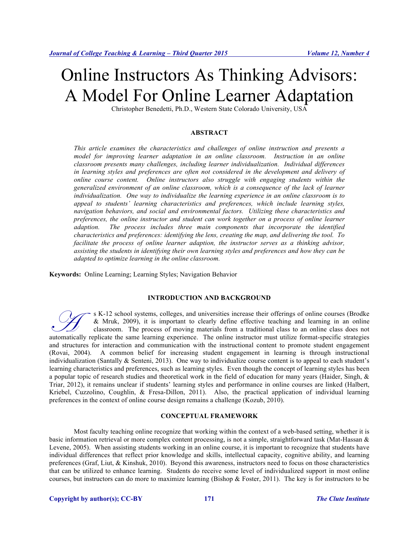# Online Instructors As Thinking Advisors: A Model For Online Learner Adaptation

Christopher Benedetti, Ph.D., Western State Colorado University, USA

#### **ABSTRACT**

*This article examines the characteristics and challenges of online instruction and presents a model for improving learner adaptation in an online classroom. Instruction in an online classroom presents many challenges, including learner individualization. Individual differences in learning styles and preferences are often not considered in the development and delivery of online course content. Online instructors also struggle with engaging students within the generalized environment of an online classroom, which is a consequence of the lack of learner individualization. One way to individualize the learning experience in an online classroom is to appeal to students' learning characteristics and preferences, which include learning styles, navigation behaviors, and social and environmental factors. Utilizing these characteristics and preferences, the online instructor and student can work together on a process of online learner adaption. The process includes three main components that incorporate the identified characteristics and preferences: identifying the lens, creating the map, and delivering the tool. To facilitate the process of online learner adaption, the instructor serves as a thinking advisor, assisting the students in identifying their own learning styles and preferences and how they can be adapted to optimize learning in the online classroom.*

**Keywords:** Online Learning; Learning Styles; Navigation Behavior

### **INTRODUCTION AND BACKGROUND**

s K-12 school systems, colleges, and universities increase their offerings of online courses (Brodke & Mruk, 2009), it is important to clearly define effective teaching and learning in an online classroom. The process of moving materials from a traditional class to an online class does not <sup>8</sup> K-12 school systems, colleges, and universities increase their offerings of online courses (Brodke & Mruk, 2009), it is important to clearly define effective teaching and learning in an online classroom. The process of and structures for interaction and communication with the instructional content to promote student engagement (Rovai, 2004). A common belief for increasing student engagement in learning is through instructional individualization (Santally & Senteni, 2013). One way to individualize course content is to appeal to each student's learning characteristics and preferences, such as learning styles. Even though the concept of learning styles has been a popular topic of research studies and theoretical work in the field of education for many years (Haider, Singh, & Triar, 2012), it remains unclear if students' learning styles and performance in online courses are linked (Halbert, Kriebel, Cuzzolino, Coughlin, & Fresa-Dillon, 2011). Also, the practical application of individual learning preferences in the context of online course design remains a challenge (Kozub, 2010).

#### **CONCEPTUAL FRAMEWORK**

Most faculty teaching online recognize that working within the context of a web-based setting, whether it is basic information retrieval or more complex content processing, is not a simple, straightforward task (Mat-Hassan & Levene, 2005). When assisting students working in an online course, it is important to recognize that students have individual differences that reflect prior knowledge and skills, intellectual capacity, cognitive ability, and learning preferences (Graf, Liut, & Kinshuk, 2010). Beyond this awareness, instructors need to focus on those characteristics that can be utilized to enhance learning. Students do receive some level of individualized support in most online courses, but instructors can do more to maximize learning (Bishop & Foster, 2011). The key is for instructors to be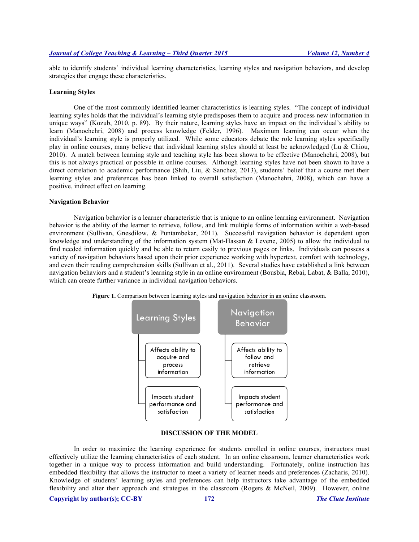able to identify students' individual learning characteristics, learning styles and navigation behaviors, and develop strategies that engage these characteristics.

#### **Learning Styles**

One of the most commonly identified learner characteristics is learning styles. "The concept of individual learning styles holds that the individual's learning style predisposes them to acquire and process new information in unique ways" (Kozub, 2010, p. 89). By their nature, learning styles have an impact on the individual's ability to learn (Manochehri, 2008) and process knowledge (Felder, 1996). Maximum learning can occur when the individual's learning style is properly utilized. While some educators debate the role learning styles specifically play in online courses, many believe that individual learning styles should at least be acknowledged (Lu & Chiou, 2010). A match between learning style and teaching style has been shown to be effective (Manochehri, 2008), but this is not always practical or possible in online courses. Although learning styles have not been shown to have a direct correlation to academic performance (Shih, Liu, & Sanchez, 2013), students' belief that a course met their learning styles and preferences has been linked to overall satisfaction (Manochehri, 2008), which can have a positive, indirect effect on learning.

#### **Navigation Behavior**

Navigation behavior is a learner characteristic that is unique to an online learning environment. Navigation behavior is the ability of the learner to retrieve, follow, and link multiple forms of information within a web-based environment (Sullivan, Gnesdilow, & Puntambekar, 2011). Successful navigation behavior is dependent upon knowledge and understanding of the information system (Mat-Hassan & Levene, 2005) to allow the individual to find needed information quickly and be able to return easily to previous pages or links. Individuals can possess a variety of navigation behaviors based upon their prior experience working with hypertext, comfort with technology, and even their reading comprehension skills (Sullivan et al., 2011). Several studies have established a link between navigation behaviors and a student's learning style in an online environment (Bousbia, Rebai, Labat, & Balla, 2010), which can create further variance in individual navigation behaviors.



**Figure 1.** Comparison between learning styles and navigation behavior in an online classroom.

# **DISCUSSION OF THE MODEL**

In order to maximize the learning experience for students enrolled in online courses, instructors must effectively utilize the learning characteristics of each student. In an online classroom, learner characteristics work together in a unique way to process information and build understanding. Fortunately, online instruction has embedded flexibility that allows the instructor to meet a variety of learner needs and preferences (Zacharis, 2010). Knowledge of students' learning styles and preferences can help instructors take advantage of the embedded flexibility and alter their approach and strategies in the classroom (Rogers & McNeil, 2009). However, online

**Copyright by author(s); CC-BY 172** *The Clute Institute*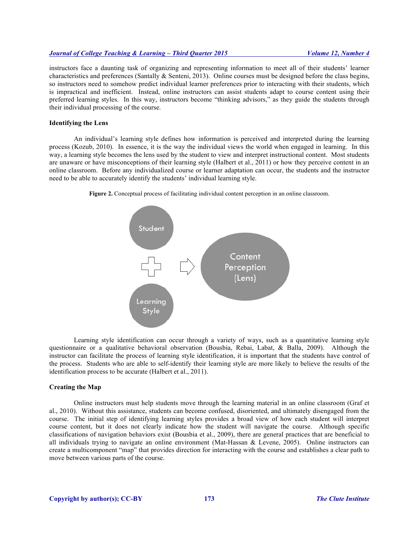# *Journal of College Teaching & Learning – Third Quarter 2015 Volume 12, Number 4*

instructors face a daunting task of organizing and representing information to meet all of their students' learner characteristics and preferences (Santally & Senteni, 2013). Online courses must be designed before the class begins, so instructors need to somehow predict individual learner preferences prior to interacting with their students, which is impractical and inefficient. Instead, online instructors can assist students adapt to course content using their preferred learning styles. In this way, instructors become "thinking advisors," as they guide the students through their individual processing of the course.

#### **Identifying the Lens**

An individual's learning style defines how information is perceived and interpreted during the learning process (Kozub, 2010). In essence, it is the way the individual views the world when engaged in learning. In this way, a learning style becomes the lens used by the student to view and interpret instructional content. Most students are unaware or have misconceptions of their learning style (Halbert et al., 2011) or how they perceive content in an online classroom. Before any individualized course or learner adaptation can occur, the students and the instructor need to be able to accurately identify the students' individual learning style.



**Figure 2.** Conceptual process of facilitating individual content perception in an online classroom.

Learning style identification can occur through a variety of ways, such as a quantitative learning style questionnaire or a qualitative behavioral observation (Bousbia, Rebai, Labat, & Balla, 2009). Although the instructor can facilitate the process of learning style identification, it is important that the students have control of the process. Students who are able to self-identify their learning style are more likely to believe the results of the identification process to be accurate (Halbert et al., 2011).

#### **Creating the Map**

Online instructors must help students move through the learning material in an online classroom (Graf et al., 2010). Without this assistance, students can become confused, disoriented, and ultimately disengaged from the course. The initial step of identifying learning styles provides a broad view of how each student will interpret course content, but it does not clearly indicate how the student will navigate the course. Although specific classifications of navigation behaviors exist (Bousbia et al., 2009), there are general practices that are beneficial to all individuals trying to navigate an online environment (Mat-Hassan & Levene, 2005). Online instructors can create a multicomponent "map" that provides direction for interacting with the course and establishes a clear path to move between various parts of the course.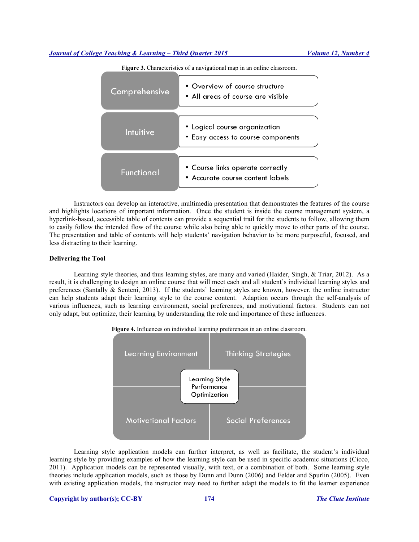#### *Journal of College Teaching & Learning – Third Quarter 2015 Volume 12, Number 4*



**Figure 3.** Characteristics of a navigational map in an online classroom.

Instructors can develop an interactive, multimedia presentation that demonstrates the features of the course and highlights locations of important information. Once the student is inside the course management system, a hyperlink-based, accessible table of contents can provide a sequential trail for the students to follow, allowing them to easily follow the intended flow of the course while also being able to quickly move to other parts of the course. The presentation and table of contents will help students' navigation behavior to be more purposeful, focused, and less distracting to their learning.

#### **Delivering the Tool**

Learning style theories, and thus learning styles, are many and varied (Haider, Singh, & Triar, 2012). As a result, it is challenging to design an online course that will meet each and all student's individual learning styles and preferences (Santally & Senteni, 2013). If the students' learning styles are known, however, the online instructor can help students adapt their learning style to the course content. Adaption occurs through the self-analysis of various influences, such as learning environment, social preferences, and motivational factors. Students can not only adapt, but optimize, their learning by understanding the role and importance of these influences.



Learning style application models can further interpret, as well as facilitate, the student's individual learning style by providing examples of how the learning style can be used in specific academic situations (Cicco, 2011). Application models can be represented visually, with text, or a combination of both. Some learning style theories include application models, such as those by Dunn and Dunn (2006) and Felder and Spurlin (2005). Even with existing application models, the instructor may need to further adapt the models to fit the learner experience

#### **Copyright by author(s); CC-BY 174** *The Clute Institute*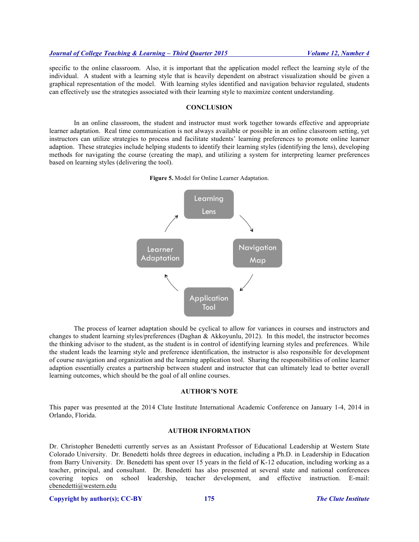specific to the online classroom. Also, it is important that the application model reflect the learning style of the individual. A student with a learning style that is heavily dependent on abstract visualization should be given a graphical representation of the model. With learning styles identified and navigation behavior regulated, students can effectively use the strategies associated with their learning style to maximize content understanding.

### **CONCLUSION**

In an online classroom, the student and instructor must work together towards effective and appropriate learner adaptation. Real time communication is not always available or possible in an online classroom setting, yet instructors can utilize strategies to process and facilitate students' learning preferences to promote online learner adaption. These strategies include helping students to identify their learning styles (identifying the lens), developing methods for navigating the course (creating the map), and utilizing a system for interpreting learner preferences based on learning styles (delivering the tool).

**Figure 5.** Model for Online Learner Adaptation.



The process of learner adaptation should be cyclical to allow for variances in courses and instructors and changes to student learning styles/preferences (Daghan & Akkoyunlu, 2012). In this model, the instructor becomes the thinking advisor to the student, as the student is in control of identifying learning styles and preferences. While the student leads the learning style and preference identification, the instructor is also responsible for development of course navigation and organization and the learning application tool. Sharing the responsibilities of online learner adaption essentially creates a partnership between student and instructor that can ultimately lead to better overall learning outcomes, which should be the goal of all online courses.

#### **AUTHOR'S NOTE**

This paper was presented at the 2014 Clute Institute International Academic Conference on January 1-4, 2014 in Orlando, Florida.

#### **AUTHOR INFORMATION**

Dr. Christopher Benedetti currently serves as an Assistant Professor of Educational Leadership at Western State Colorado University. Dr. Benedetti holds three degrees in education, including a Ph.D. in Leadership in Education from Barry University. Dr. Benedetti has spent over 15 years in the field of K-12 education, including working as a teacher, principal, and consultant. Dr. Benedetti has also presented at several state and national conferences covering topics on school leadership, teacher development, and effective instruction. E-mail: cbenedetti@western.edu

#### **Copyright by author(s); CC-BY 175** *The Clute Institute*